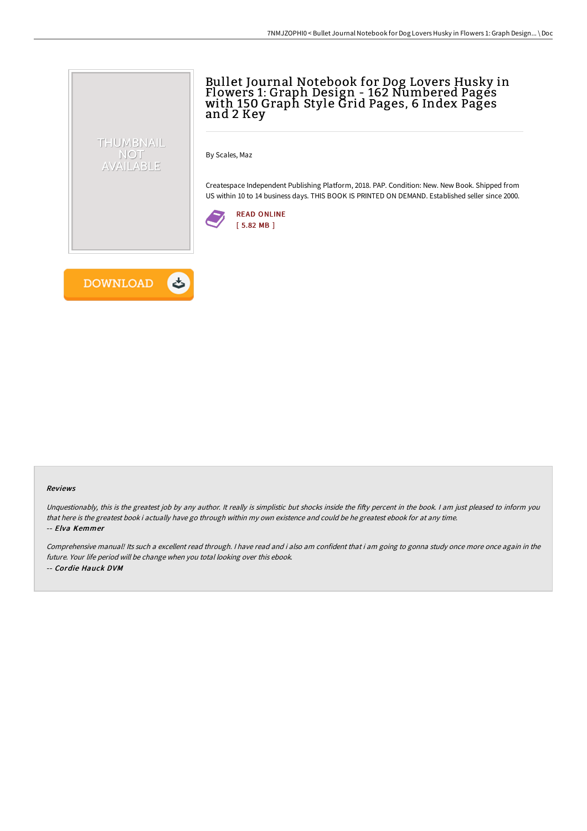# Bullet Journal Notebook for Dog Lovers Husky in Flowers 1: Graph Design - 162 Numbered Pages with 150 Graph Style Grid Pages, 6 Index Pages and 2 Key

By Scales, Maz

Createspace Independent Publishing Platform, 2018. PAP. Condition: New. New Book. Shipped from US within 10 to 14 business days. THIS BOOK IS PRINTED ON DEMAND. Established seller since 2000.





THUMBNAIL NOT AVAILABLE

#### Reviews

Unquestionably, this is the greatest job by any author. It really is simplistic but shocks inside the fifty percent in the book. I am just pleased to inform you that here is the greatest book i actually have go through within my own existence and could be he greatest ebook for at any time. -- Elva Kemmer

Comprehensive manual! Its such <sup>a</sup> excellent read through. <sup>I</sup> have read and i also am confident that i am going to gonna study once more once again in the future. Your life period will be change when you total looking over this ebook. -- Cordie Hauck DVM